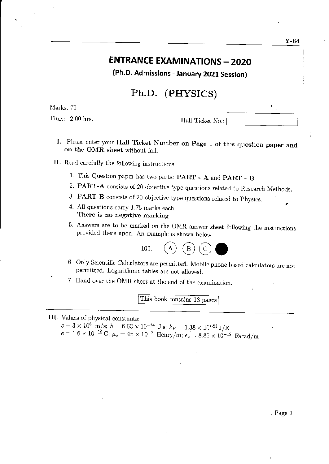## **ENTRANCE EXAMINATIONS - 2020**

(Ph.D. Admissions - January 2021 Session)

### Ph.D. (PHYSTCS)

Marks: 70

 $\epsilon$ 

Time: 2.00 hrs.

Hall Ticket No.:

- I. Please enter your Hall Ticket Number on page 1 of this question paper and on the OMR sheet without fail.
- II. Read carefully the following instructions:
	- 1. This Question paper has two parts: **PART A** and **PART B.**
	- 2. PART-A consists of 20 objective fype questions related to Research Methods.
	- 3. PART-B consists of 20 objective type questions related to Physics.
	- 4. All questions carry 1.75 marks each. There is no negative marking
	- 5. Answers are to be marked on the OMR answer sheet following the instructions provided there upon\_ An exarnple is shown below



- 6. Only Scientific Calculators are permitted. Mobile phone based calculators are not permitted. Logarithmic tables are not allowed.
- 7. Hand over the OMR sheet at the end of the examination.

This book contains 18 pages

#### III. Values of physical constants:

 $c=3\times10^8$  m/s;  $h=6.63\times10^{-34}$  J.s;  $k_B=1.38\times10^{-23}$  J/K  $e = 1.6 \times 10^{-19} \text{ C}; \ \mu_{\circ} = 4\pi \times 10^{-7} \text{ Henry/m}; \ \epsilon_{\circ} = 8.85 \times 10^{-12} \text{ Farad/m}$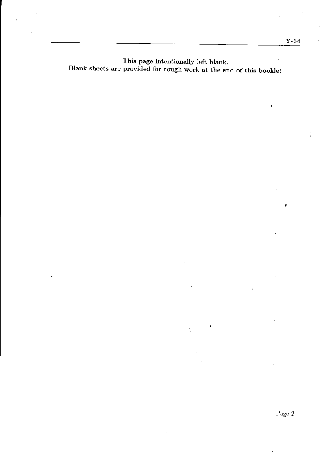This page intentionally left blank. Blank sheets are provided for rough work at the end of this booklet

 $\dot{f}_\mathrm{c}$ 

 $\overline{\phantom{a}}$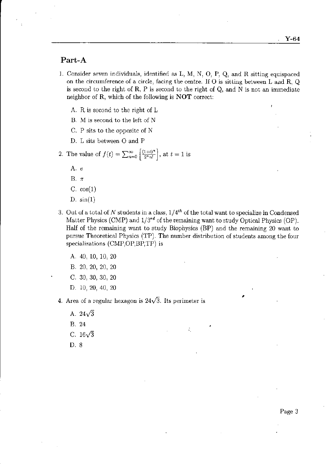#### Part-A

- 1. Consider seven individuals, identified as L, M, N, O, P, Q, and R sitting equispaced on the circumference of a circle, facing the centre. If O is sitting between L and R, <sup>Q</sup> is second to the right of R, P is second to the right of Q, and N is not an immediate neighbor of R, which of the following is  $NOT$  correct:
	- A. R is second to the right of L
	- B. M is second to the left of N
	- C. P sits to the opposite of N
	- D. L sits between O and P

2. The value of 
$$
f(t) = \sum_{n=0}^{\infty} \left[ \frac{(1+t)^n}{2^n n!} \right]
$$
, at  $t = 1$  is

- A.  $e$
- B. $\pi$
- C.  $cos(1)$
- D.  $sin(1)$
- 3. Out of a total of N students in a class,  $1/4<sup>th</sup>$  of the total want to specialize in Condensed Matter Physics (CMP) and  $1/3^{rd}$  of the remaining want to study Optical Physics (OP). Half of the remaining want to study Biophysics (BP) and the remaining 20 want to pursue Theoretical Physics (TP). The number distribution of students among the four specializations  $(CMP, OP, BP, TP)$  is

÷.

- {. 40, 10, 10, <sup>20</sup>
- B. 20,20, 20, <sup>20</sup>
- C. 30, 30, 30, 20
- D. 10, 20, 40, 20
- 4. Area of a regular hexagon is  $24\sqrt{3}$ . Its perimeter is
	- A.  $24\sqrt{3}$
	- B. 24
	- C.  $16\sqrt{3}$
	- D. 8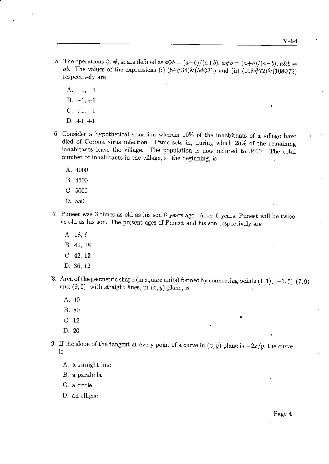- 5. The operations  $\Diamond, \#$ , & are defined as  $a\Diamond b = (a-b)/(a+b)$ ,  $a\#b = (a+b)/(a-b)$ ,  $a\&b=$ ab. The values of the expressions (i)  $(54#36)$  &(54 $\Diamond$ 36) and (ii)  $(108#72)$  &(108 $\Diamond$ 72) respectively are
	- $A. -1, -1$
	- $B. -1, +1$
	- $C. +1, -1$
	- $D. +1, +1$
- 6. Consider a hypothetical situation wherein 10% of the inhabitants of a village have died of Corona virus infection. Panic sets in, during which 20% of the remaimng inhabitants leave the village. The population is now reduced to 3600. The iotal number of inhabitants in the village, at the beginning, is
	- A.4000
	- 8.4500
	- c.5000
	- D. s500
- 7. Puneet was 3 times as old as his son 6 years ago. After 6 years, puneet will be twice as old as his son. The present ages of Puneet and his son respectively are
	- A. 18,6
	- B. 42, t8
	- c. 42. <sup>12</sup>
	- D. 36, i2
- $\mathcal{E}$ . Area of the geometric shape (in square units) formed by connecting points  $(1,1), (-1,5), (7,9)$ and  $(9, 5)$ , with straight lines, in  $(x, y)$  plane, is
	- A.40
	- B.80
	- c. <sup>12</sup>
	- D.20
- 9. If the slope of the tangent at every point of a curve in  $(x,y)$  plane is  $-2x/y$ , the curve ls
	- A. a straight line
	- B. a parabola

C. a circle

D. an ellipse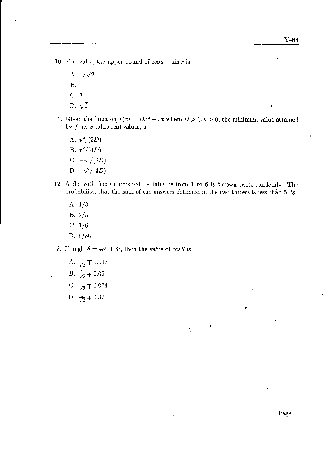- 10. For real x, the upper bound of  $\cos x + \sin x$  is
	- A.  $1/\sqrt{2}$ B.i C. 2
	- D.  $\sqrt{2}$
- 11. Given the function  $f(x) = Dx^2 + vx$  where  $D > 0, v > 0$ , the minimum value attained by  $f$ , as  $x$  takes real values, is
	- A.  $v^2/(2D)$ B.  $v^2/(4D)$ C.  $-v^2/(2D)$ D.  $-v^2/(4D)$
- 12. A die with faces numbered by integers from  $1$  to  $6$  is thrown twice randomly. The probability, that the sum of the answers obtained in the two throws is less than 5, is

÷,

- A\_ 1/3  $B. 2/5$ C.  $1/6$
- D.  $5/36$
- 13. If angle  $\theta = 45^{\circ} \pm 3^{\circ}$ , then the value of  $\cos \theta$  is
	- A.  $\frac{1}{\sqrt{2}} \mp 0.037$ B.  $\frac{1}{\sqrt{2}} \mp 0.05$ C.  $\frac{1}{\sqrt{2}} \mp 0.074$ D.  $\frac{1}{\sqrt{2}} \pm 0.37$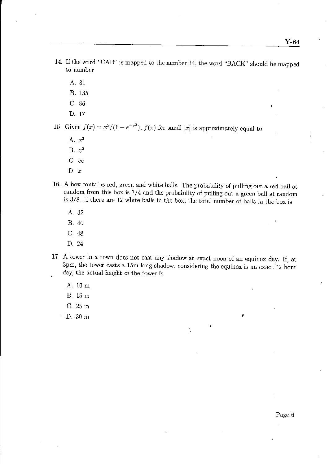- 14. If the word "CAB" is mapped to the number 14, the word "BACK" should be mapped to number
	- A.31
	- B. <sup>135</sup>
	- c.86
	- D. <sup>17</sup>

15. Given  $f(x) = x^3/(1 - e^{-x^2})$ ,  $f(x)$  for small  $|x|$  is approximately equal to

- A.  $x^3$ B.  $x^2$ C.  $\infty$
- $D. x$
- 16. A box contains red, green and white balls. The probability of pulling out a red ball at random from this box is  $1/4$  and the probability of pulling out a green ball at random is  $3/8$ . If there are 12 white balls in the box, the total number of balls in the box is
	- A.32
	- B.40
	- c. <sup>48</sup>
	- D.24
- 17. A tower in a town does not cast any shadow at exact noon of an equinox day. If, at 3pm, the tower casts a 15m long shadow, considering the equinox is an exact 12 hour . day, the actual height of the tower is

÷.

- A. 10m
- B. 15m
- C.25m
- D.30m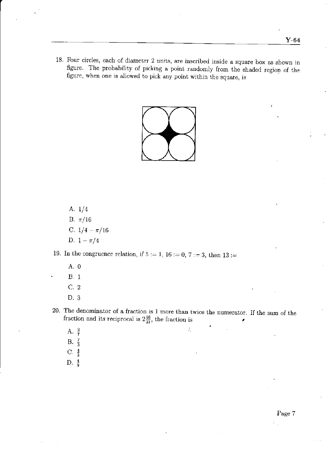18. Four circles, each of diameter 2 units, are inscribed inside a square box as shown in figure. The probability of picking a point randomly from the shaded region of the figure, when one is allowed to pick any point within the square, is



A.  $1/4$ B.  $\pi/16$ C.  $1/4 - \pi/16$ D.  $1 - \pi/4$ 

19. In the congruence relation, if  $5 := 1$ ,  $16 := 0$ ,  $7 := 3$ , then  $13 :=$ 

- A. 0
- **B.** 1
- $C.2$
- D. 3

20. The denominator of a fraction is 1 more than twice the numerator. If the sum of the fraction and its reciprocal is  $2\frac{16}{21}$ , the fraction is

÷,

- A.  $\frac{3}{7}$ <br>B.  $\frac{7}{3}$
- 
- C.  $\frac{4}{3}$
- D.  $\frac{4}{9}$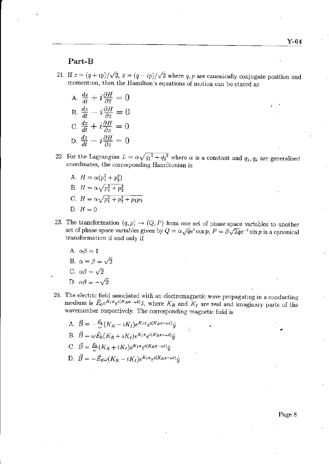#### Part-B

- 21. If  $z = (q + ip)/\sqrt{2}$ ,  $\overline{z} = (q ip)/\sqrt{2}$  where q, p are canonically conjugate position and momentum, then the Hamilton's equations of motion can be stated as
	- A.  $\frac{dz}{dt} + i\frac{\partial H}{\partial \overline{z}} = 0$ B.  $\frac{dz}{dt} - i \frac{\partial H}{\partial \overline{z}} = 0$ C.  $\frac{dz}{dt} + i\frac{\partial H}{\partial z} = 0$ D.  $\frac{dz}{dt} - i\frac{\partial H}{\partial x} = 0$
- 22. For the Lagrangian  $L = \alpha \sqrt{\dot{q_1}^2 + \dot{q_2}^2}$  where  $\alpha$  is a constant and  $q_1, q_2$  are generalised coordinates, the corresponding Hamiltonian is
	- A.  $H = \alpha (p_1^2 + p_2^2)$ B.  $H = \alpha \sqrt{p_1^2 + p_2^2}$ C.  $H = \alpha \sqrt{p_1^2 + p_2^2 + p_1 p_2}$ D.  $H=0$
- 23. The transformation  $(q, p) \rightarrow (Q, P)$  from one set of phase space variables to another set of phase space variables given by  $Q = \alpha \sqrt{q}e^t \cos p$ ,  $P = \beta \sqrt{2q}e^{-t} \sin p$  is a canonical transformation if and only if
	- A.  $\alpha\beta=1$
	- B.  $\alpha = \beta = \sqrt{2}$
	- C.  $\alpha\beta = \sqrt{2}$
	- D.  $\alpha\beta = -\sqrt{2}$
- 24. The electric field associated with an electromagnetic wave propagating in a conducting medium is  $\tilde{E}_0e^{K_Ix}e^{i(K_Rx-\omega t)}\hat{z}$ , where  $K_R$  and  $K_I$  are real and imaginary parts of the wavenumber respectively. The corresponding magnetic field is

A. 
$$
\vec{B} = -\frac{\vec{E}_0}{\omega} (K_R - iK_I) e^{K_I x} e^{i(K_R x - \omega t)} \hat{y}
$$
  
\nB. 
$$
\vec{B} = \omega \tilde{E}_0 (K_R + iK_I) e^{K_I x} e^{i(K_R x - \omega t)} \hat{y}
$$
  
\nC. 
$$
\vec{B} = \frac{\vec{E}_0}{\omega} (K_R + iK_I) e^{K_I x} e^{i(K_R x - \omega t)} \hat{y}
$$
  
\nD. 
$$
\vec{B} = -\tilde{E}_0 \omega (K_R - iK_I) e^{K_I x} e^{i(K_R x - \omega t)} \hat{y}
$$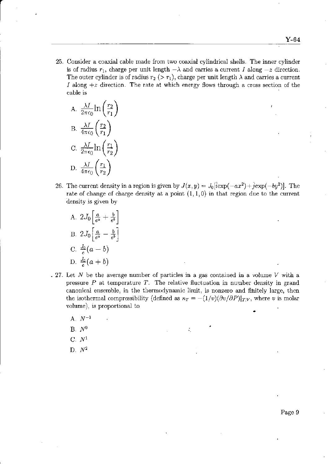25. Consider a coaxial cable made from two coaxial cylindical shells. The inner cylinder is of radius  $r_1$ , charge per unit length  $-\lambda$  and carries a current I along  $-z$  direction. The outer cylinder is of radius  $r_2$  (>  $r_1$ ), charge per unit length  $\lambda$  and carries a current I along  $+z$  direction. The rate at which energy flows through a cross section of the cable is

A. 
$$
\frac{\lambda I}{2\pi\epsilon_0} \ln\left(\frac{r_2}{r_1}\right)
$$
  
B. 
$$
\frac{\lambda I}{4\pi\epsilon_0} \left(\frac{r_2}{r_1}\right)
$$
  
C. 
$$
\frac{\lambda I}{2\pi\epsilon_0} \ln\left(\frac{r_1}{r_2}\right)
$$
  
D. 
$$
\frac{\lambda I}{4\pi\epsilon_0} \left(\frac{r_1}{r_2}\right)
$$

- 26. The current density in a region is given by  $J(x,y) = J_0[i\exp(-ax^2) + j\exp(-by^2)]$ . The rate of change of charge density at a point  $(1, 1, 0)$  in that region due to the current density is given by
	- A.  $2J_0\left[\frac{a}{e^a}+\frac{b}{e^b}\right]$ B.  $2J_0\left[\frac{a}{e^a}-\frac{b}{e^b}\right]$ C.  $\frac{J_0}{e}(a - b)$ D.  $\frac{J_0}{e}(a + b)$
- . 27. Let N be the average number of particles in a gas contained in a volume V with a pressure  $P$  at temperature  $T$ . The relative fluctuation in number density in grand canonicai ensemble, in ihe themodynanic limit. is nonzero and fihitely large, then the isothermal compressibility (defined as  $\kappa_T = -(1/v)(\partial v/\partial P)|_{T,V}$ , where v is molar volume), is proportional to
	- A.  $N^{-1}$
	- B.  $N^0$  and  $N^0$  is the set of the set of the set of the set of the set of the set of the set of the set of the set of the set of the set of the set of the set of the set of the set of the set of the set of the set of t
	- $C. N<sup>1</sup>$
	- D.  $N^2$

Page 9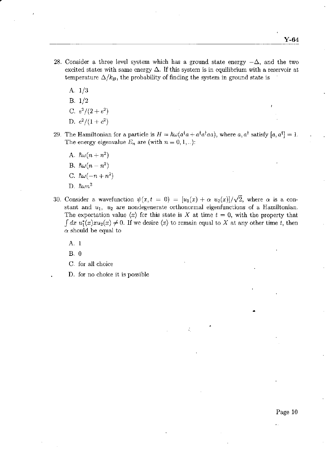- 28. Consider a three level system which has a ground state energy  $-\Delta$ , and the two excited states with same energy  $\Delta$ . If this system is in equilibrium with a reservoir at temperature  $\Delta/k_B$ , the probability of finding the system in ground state is
	- A. 1/3
	- $B. 1/2$
	- C.  $e^2/(2 + e^2)$
	- D.  $e^2/(1+e^2)$
- 29. The Hamiltonian for a particle is  $H = \hbar \omega (a^{\dagger} a + a^{\dagger} a^{\dagger} a a)$ , where a,  $a^{\dagger}$  satisfy  $[a, a^{\dagger}] = 1$ . The energy eigenvalue  $E_n$  are (with  $n = 0, 1, ...$ ):
	- A.  $\hbar\omega(n+n^2)$
	- B.  $\hbar\omega(n n^2)$
	- C.  $\hbar\omega(-n+n^2)$
	- D.  $\hbar \omega n^2$
- 30. Consider a wavefunction  $\psi(x,t = 0) = [u_1(x) + \alpha u_2(x)]/\sqrt{2}$ , where  $\alpha$  is a constant and  $u_1$ ,  $u_2$  are nondegenerate orthonormal eigenfunctions of a Hamiltonian. The expectation value  $\langle x \rangle$  for this state is X at time  $t = 0$ , with the property that  $\int dx u_1^*(x) x u_2(x) \neq 0$ . If we desire  $\langle x \rangle$  to remain equal to X at any other time t, then  $\alpha$  should be equal to

A. <sup>1</sup>

B.0

- C. for all choice
- . D. for no choice it is possible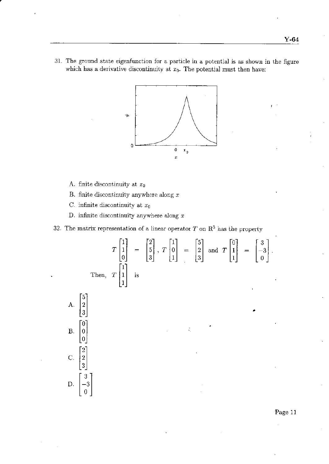31. The ground state eigenfunction for a particle in a potential is as shown in the figure which has a derivative discontinuity at  $x_0$ . The potential must then have:



- A. finite discontinuity at  $x_0$
- B. finite discontinuity anywhere along  $x$
- C. infinite discontinuity at  $x_0$
- D. infinite discontinuity anywhere along  $x$
- 32. The matrix representation of a linear operator  $T$  on  $\mathbb{R}^3$  has the property

$$
T\begin{bmatrix} 1 \\ 1 \\ 0 \end{bmatrix} = \begin{bmatrix} 2 \\ 5 \\ 3 \end{bmatrix}, T\begin{bmatrix} 1 \\ 0 \\ 1 \end{bmatrix} = \begin{bmatrix} 5 \\ 2 \\ 3 \end{bmatrix} \text{ and } T\begin{bmatrix} 0 \\ 1 \\ 1 \end{bmatrix} = \begin{bmatrix} 3 \\ -3 \\ 0 \end{bmatrix}.
$$
  
Then,  $T\begin{bmatrix} 1 \\ 1 \\ 1 \end{bmatrix}$  is

¢,



'Page 11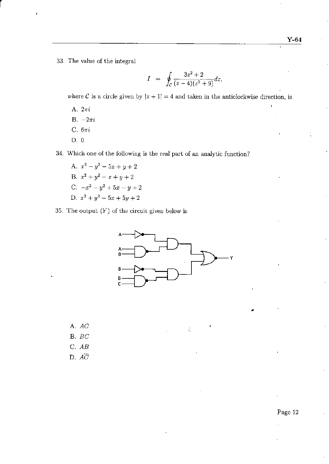33. The value of the integral

$$
I = \oint_C \frac{3z^2 + 2}{(z - 4)(z^2 + 9)} dz,
$$

where C is a circle given by  $|z + 1| = 4$  and taken in the anticlockwise direction, is

- A. 2ri
- B.  $-2\pi i$
- C.6ri
- D.0

34. Which one of the following is the real part of an analytic function?

- A.  $x^2-y^2-5x+y+2$ B.  $x^2 + y^2 - x + y + 2$ C.  $-x^2-y^2+5x-y+2$ D.  $x^2 + y^2 - 5x + 5y + 2$
- 35. The output  $(Y)$  of the circuit given below is



÷,

A. AC

- B. BC
- C, AB
- D.  $A\overline{C}$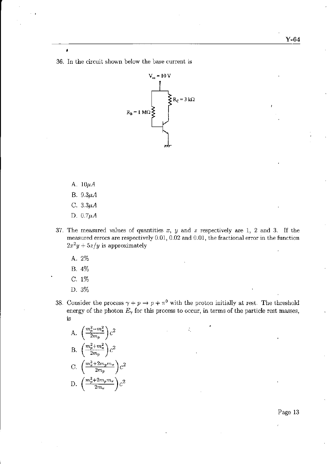36. In the circuit shown below the base current is



A.  $10\mu A$ 

é

- B.  $9.3\mu A$
- C.  $3.3\mu A$
- D.  $0.7\mu A$
- 37. The measured values of quantities x, y and z respectively are 1, 2 and 3. If the measured errors are respectively  $0.01$ ,  $0.02$  and  $0.01$ , the fractional error in the function  $2x^2y + 5z/y$  is approximately
	- A,. 2%
	- B. 4%
	- c. 1%
	- D. 3%
- 38. Consider the process  $\gamma + p \to p + \pi^0$  with the proton initially at rest. The threshold energy of the photon  $E_{\gamma}$  for this process to occur, in terms of the particle rest masses, is

÷,

A. 
$$
\left(\frac{m_p^2 - m_\pi^2}{2m_p}\right)c^2
$$
  
\nB. 
$$
\left(\frac{m_p^2 + m_\pi^2}{2m_p}\right)c^2
$$
  
\nC. 
$$
\left(\frac{m_\pi^2 + 2m_p m_\pi}{2m_p}\right)c^2
$$
  
\nD. 
$$
\left(\frac{m_p^2 + 2m_p m_\pi}{2m_\pi}\right)c^2
$$

Page 13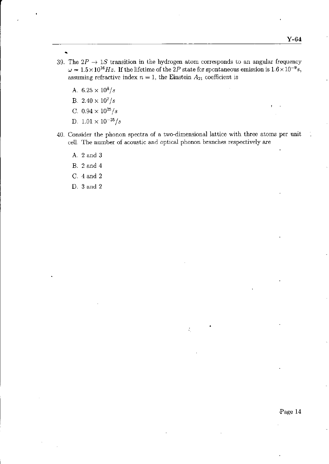- 
- 39. The  $2P \rightarrow 1S$  transition in the hydrogen atom corresponds to an angular frequency  $\omega = 1.5 \times 10^{16} Hz$ . If the lifetime of the 2P state for spontaneous emission is  $1.6 \times 10^{-9} s$ , assuming refractive index  $n = 1$ , the Einstein  $A_{21}$  coefficient is
	- A.  $6.25 \times 10^8/s$
	- B.  $2.40 \times 10^7/s$
	- C.  $0.94 \times 10^{25}/s$
	- D.  $1.01 \times 10^{-25}/s$
- 40. Consider the phonon spectra of a two-dimensional lattice with three atoms per unit cell. The number of acoustic and optical phonon branches respectively are
	- A. 2 and 3
	- B. 2 and 4
	- C. 4 and 2
	- D. 3 and 2